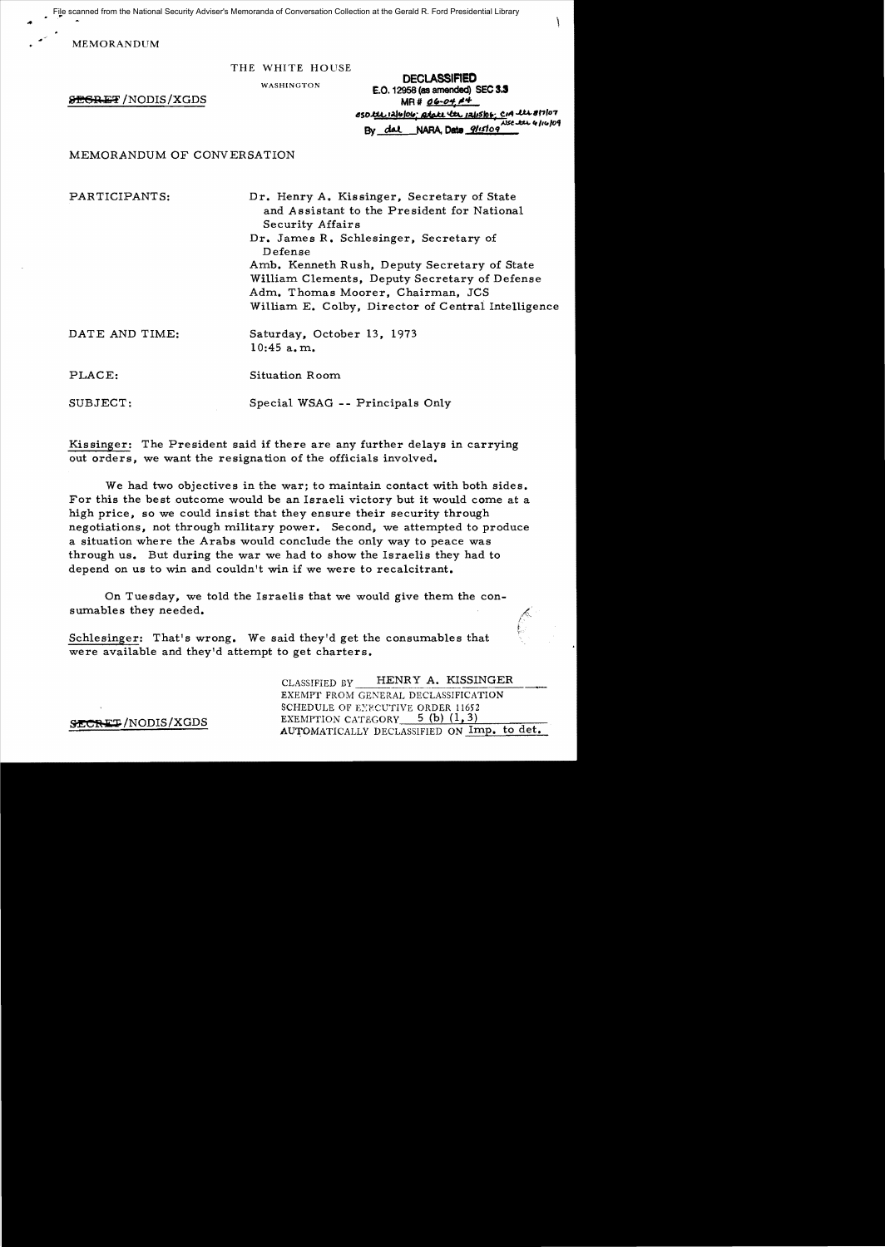File scanned from the National Security Adviser's Memoranda of Conversation Collection at the Gerald R. Ford Presidential Library

MEMORANDUM

#### THE WHITE HOUSE

WASHINGTON

**SEGRET** /NODIS / XGDS

| <b>UEULASSIMEU</b><br>E.O. 12958 (as amended) SEC 3.3 |  |
|-------------------------------------------------------|--|
| $MR# 06 - 04 14$                                      |  |
| 850 tel 1216/06; Rtate te 12/15/06; CIA te 8/7/07     |  |
| $XSE$ the $41409$<br>By dal NARA, Date 9/15/09        |  |

en a eneropera

MEMORANDUM OF CONVERSATION

PARTICIPANTS: Dr. Henry A. Kissinger, Secretary of State and Assistant to the President for National Security Affairs Dr. James R. Schlesinger, Secretary of Defense Amb. Kenneth Rush, Deputy Secretary of State William Clements, Deputy Secretary of Defense Adm. Thomas Moorer, Chairman, JCS William E. Colby, Director of Central Intelligence

| ATE AND TIME: | Saturday, October 13, 1973 |
|---------------|----------------------------|
|               | $10:45$ a.m.               |
|               |                            |

PLACE: Situation Room

SUBJECT: Special WSAG -- Principals Only

Kissinger: The President said if there are any further delays in carrying out orders, we want the resignation of the officials involved.

We had two objectives in the war; to maintain contact with both sides. For this the best outcome would be an Israeli victory but it would come at a high price, so we could insist that they ensure their security through negotiations, not through military power. Second, we attempted to produce a situation where the Arabs would conclude the only way to peace was through us. But during the war we had to show the Israelis they had to depend on us to win and couldn't win if we were to recalcitrant.

On Tuesday, we told the Israelis that we would give them the consurnables they needed.

Schlesinger: That's wrong. We said they'd get the consumables that were available and they'd attempt to get charters.

CLASSIFIED BY HENRY A. KISSINGER EXEMPT FROM GENERAL DECLASSIFICATION SCHEDULE OF EXECUTIVE ORDER 11652  ${EEXEMPTION CATEGORY}$  5 (b)  $(1,3)$ AUTOMATICALLY DECLASSIFIED ON Imp. to det.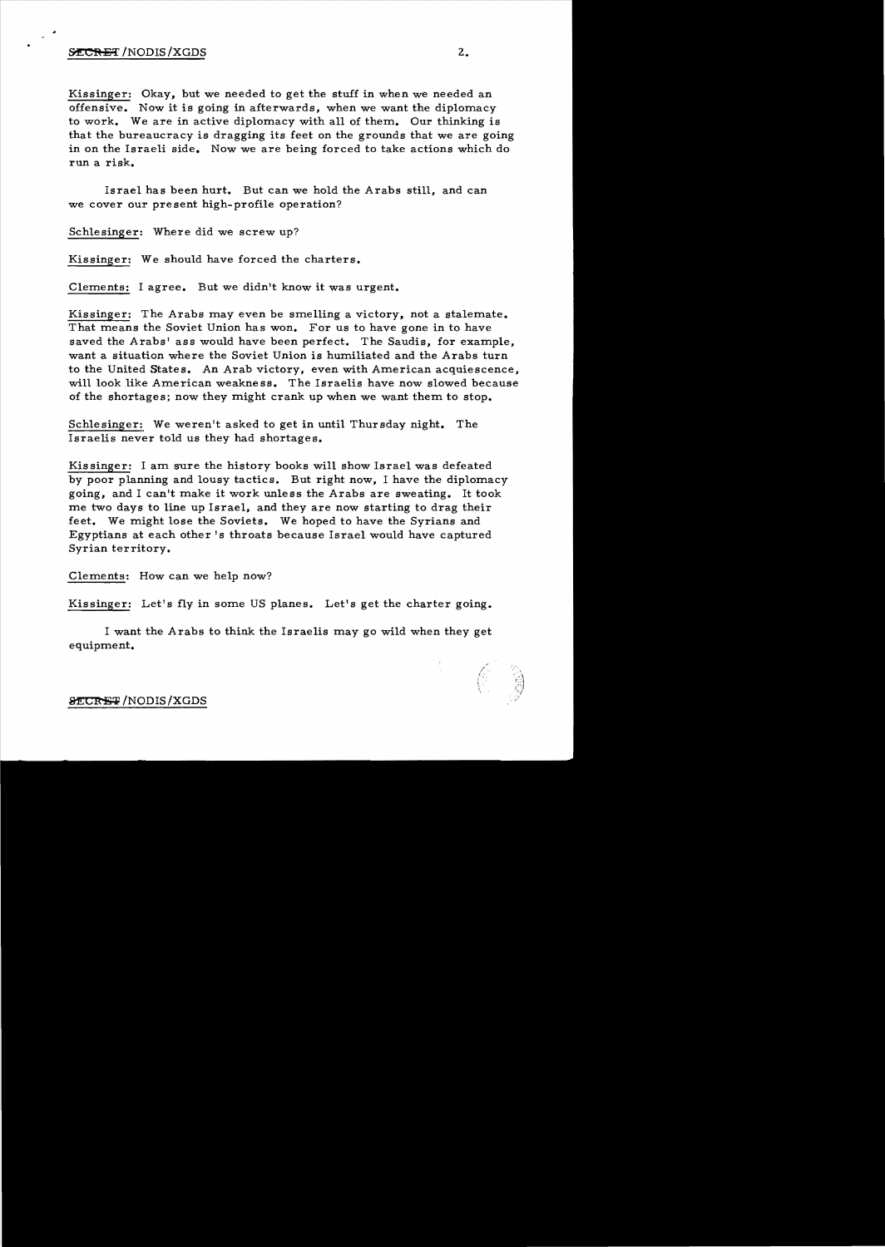Kissinger: Okay, but we needed to get the stuff in when we needed an offensive. Now it is going in afterwards, when we want the diplomacy to work. We are in active diplomacy with all of them. Our thinking is that the bureaucracy is dragging its feet on the grounds that we are going in on the Israeli side. Now we are being forced to take actions which do run a risk.

Israel has been hurt. But can we hold the Arabs still, and can we cover our present high-profile operation?

Schlesinger: Where did we screw up?

Kissinger: We should have forced the charters.

Clements: I agree. But we didn't know it was urgent.

Kissinger: The Arabs may even be smelling a victory, not a stalemate. That means the Soviet Union has won. For us to have gone in to have saved the Arabs' ass would have been perfect. The Saudis, for example, want a situation where the Soviet Union is humiliated and the Arabs turn to the United States. An Arab victory, even with American acquiescence. will look like American weakness. The Israelis have now slowed because of the shortages; now they might crank up when we want them to stop.

Schlesinger: We weren't asked to get in until Thursday night. The Israelis never told us they had shortages.

Kis singer: I am sure the history books will show Israel was defeated by poor planning and lousy tactics. But right now, I have the diplomacy going, and I can't make it work unless the Arabs are sweating. It took me two days to line up Israel, and they are now starting to drag their feet. We might lose the Soviets. We hoped to have the Syrians and Egyptians at each other's throats because Israel would have captured Syrian territory.

Clements: How can we help now?

Kissinger: Let's fly in some US planes. Let's get the charter going.

I want the Arabs to think the Israelis may go wild when they get equipment.

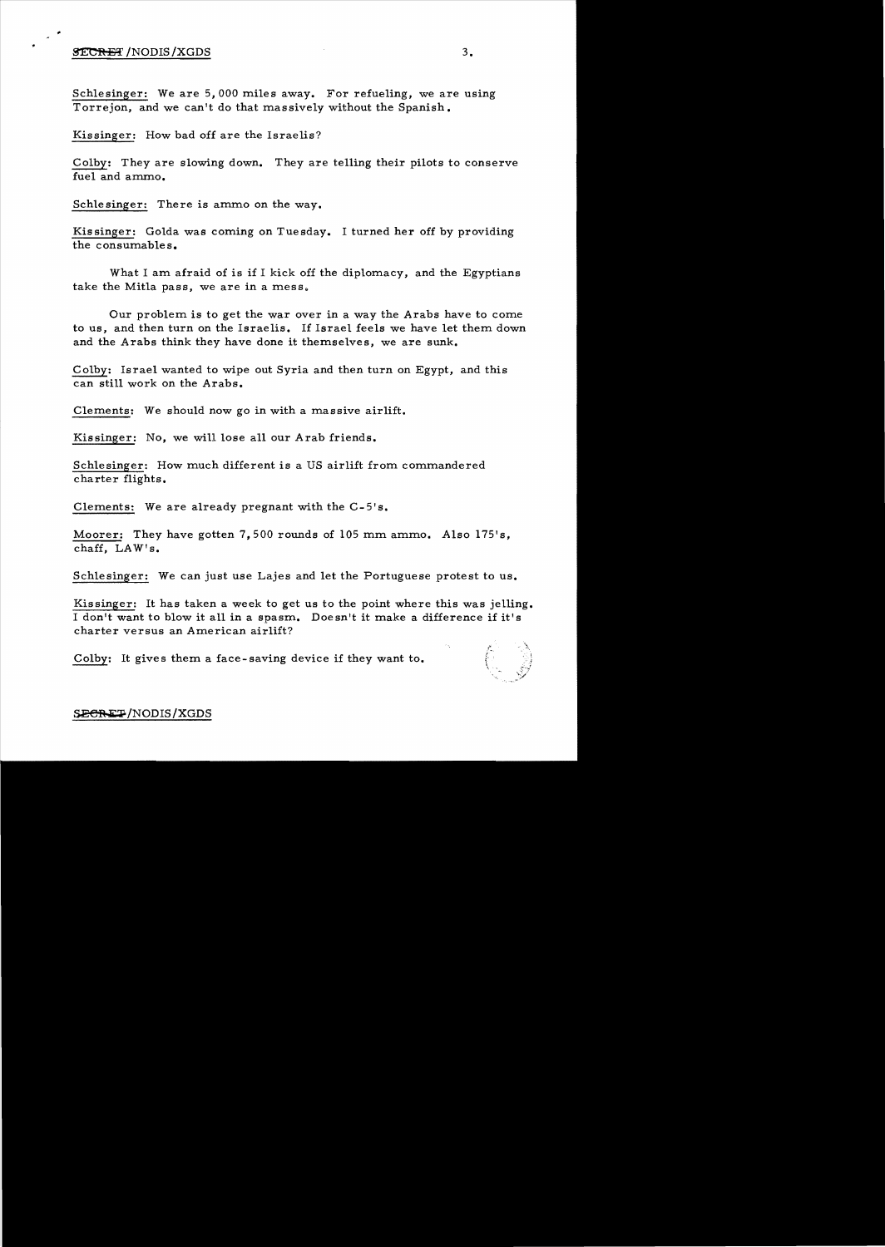## $\overline{\text{SECH}}$  /NODIS /XGDS  $3.$

Schlesinger: We are 5,000 miles away. For refueling, we are using Torrejon, and we can't do that massively without the Spanish.

Kissinger: How bad off are the Israelis?

Colby: They are slowing down. They are te11ing their pilots to conserve fuel and ammo.

Schlesinger: There is ammo on the way.

Kissinger: Golda was coming on Tuesday. I turned her off by providing the consumables.

What I am afraid of is if I kick off the diplomacy, and the Egyptians take the Mitla pass, we are in a mess.

Our problem is to get the war over in a way the Arabs have to come to us, and then turn on the Israelis. If Israel feels we have let them down and the Arabs think they have done it themselves, we are sunk.

Colby: Israel wanted to wipe out Syria and then turn on Egypt, and this can sti11 work on the Arabs.

Clements: We should now go in with a massive airlift.

Kissinger: No, we will lose all our Arab friends.

Schlesinger: How much different is a US airlift from commandered charter flights.

Clements: We are already pregnant with the C-5's.

Moorer: They have gotten 7,500 rounds of 105 mm ammo. Also  $175's$ , chaff, LAW's.

Schlesinger: We can just use Lajes and let the Portuguese protest to us.

Kissinger: It has taken a week to get us to the point where this was je11ing. I don't want to blow it a11 in a spasm. Doesn't it make a difference if it's charter versus an American airlift?

Colby: It gives them a face-saving device if they want to.

## SECRET/NODIS/XGDS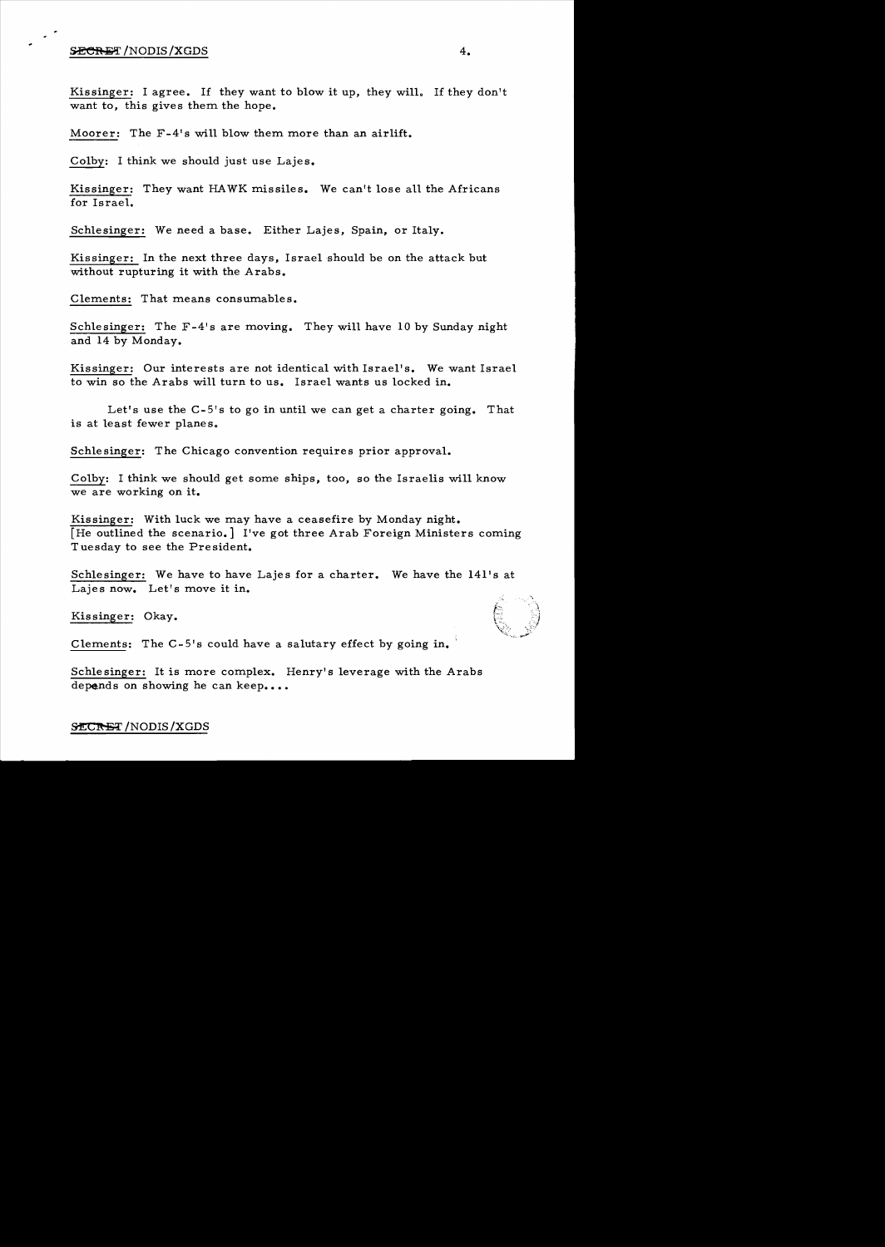### $\overline{\textbf{SECRET}}$  /NODIS /XGDS  $4.$

..

Kissinger: I agree. If they want to blow it up, they will. If they don't want to, this gives them the hope.

Moorer: The F-4's will blow them more than an airlift.

Colby: I think we should just use Lajes.

Kissinger: They want HA WK missiles. We can't lose all the Africans for Israel.

Schlesinger: We need a base. Either Lajes, Spain, or Italy.

Kissinger: In the next three days, Israel should be on the attack but without rupturing it with the Arabs.

Clements: That means consumables.

Schlesinger: The F-4's are moving. They will have 10 by Sunday night and 14 by Monday.

Kissinger: Our interests are not identical with Israel's. We want Israel to win so the Arabs will turn to us. Israel wants us locked in.

Let's use the C-5's to go in until we can get a charter going. That is at least fewer planes.

Schlesinger: The Chicago convention requires prior approval.

Colby: I think we should get some ships, too, so the Israelis will know we are working on it.

Kissinger: With luck we may have a ceasefire by Monday night. [He outlined the scenario.] I've got three Arab Foreign Ministers coming Tuesday to see the President.

Schlesinger: We have to have Lajes for a charter. We have the l41's at Lajes now. Let's move it in.

Kissinger: Okay.

Clements: The C-5's could have a salutary effect by going in.

Schle singer: It is more complex. Henry's leverage with the Arabs depends on showing he can keep....

# SECRET / NODIS / XGDS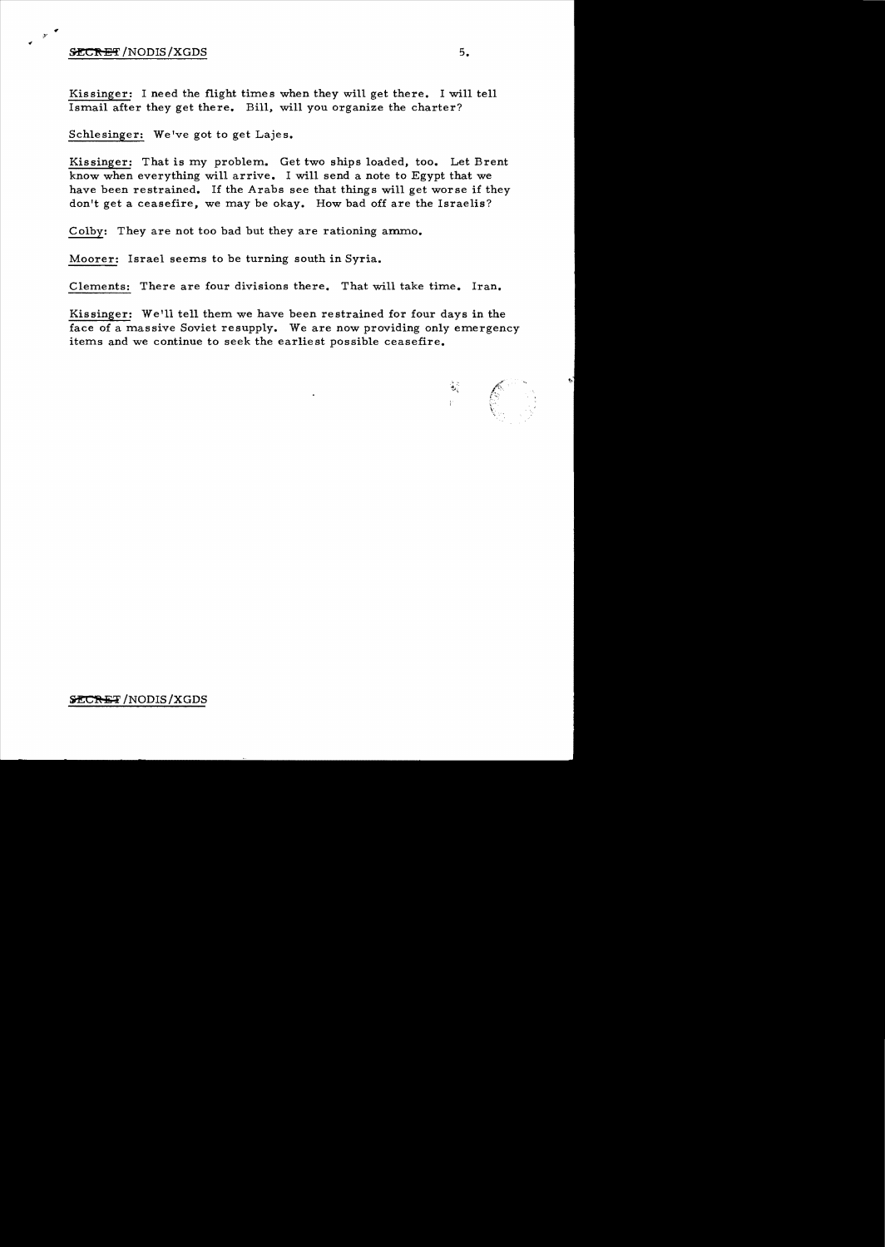## **5ECRET**/NODIS/XGDS 5.

 $r$   $\sim$ 

Kissinger: I need the flight times when they will get there. I will tell Ismail after they get there. Bill, will you organize the charter?

Schlesinger: We've got to get Lajes.

Kissinger: That is my problem. Get two ships loaded, too. Let Brent know when everything will arrive. I will send a note to Egypt that we have been restrained. If the Arabs see that things will get worse if they don't get a ceasefire, we may be okay. How bad off are the Israelis?

Colby: They are not too bad but they are rationing ammo.

Moorer: Israel seems to be turning south in Syria.

Clements: There are four divisions there. That will take time. Iran.

Kissinger: We'll tell them we have been restrained for four days in the face of a massive Soviet resupply. We are now providing only emergency items and we continue to seek the earliest possible ceasefire.

्री है।<br>जन्म  $\mathscr{E}^-$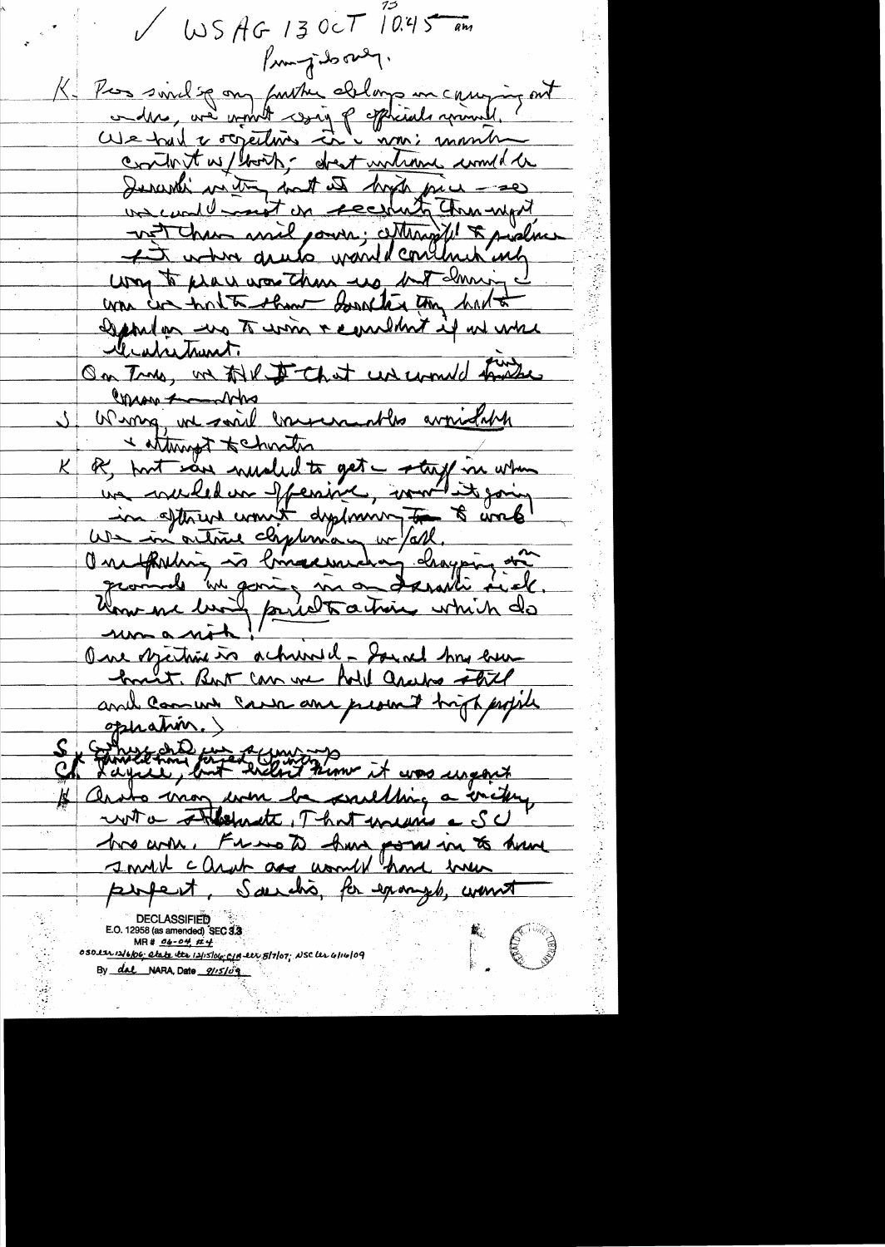$V$  WS AG 13 OCT 10.45 am Prompt do over. K. Pros sivilse on furthe ablance un carrying out content without about untime would be Deverthing with the host of the piece - se uncontest on receiting them upit not chan assie pours; cettengift & pushas way to pray was these up, but downing I was cir hotte show soulter the had to esportan uno To uno + combint il un une le abritaint. On True, not till De Chat un count friedre Commando Wing, we said conservantly avoidable  $\langle$ internated to charter of port saw muched to get a staff in when <u>K</u> une reculed un offenire, montains going in sthen won't dystrum to sometime umanit One describing in acknowled - Sound his even hound T. But can we had are we stol and comment cannon promit trippped ophation.) S , Emmerson forzet (min)<br>Ch Layall, but welc't kim it was useaux with Theolemete, That means a SU two win. Frans to have power in to have I much cleant are unwill have men perfect, Saerchis, for example, wont E S 050 ltr 12/6/06; Clate the 12/15/06; C/A ltr 8/7/07; NSC Ur 4/14/09 By dal NARA, Date 9115109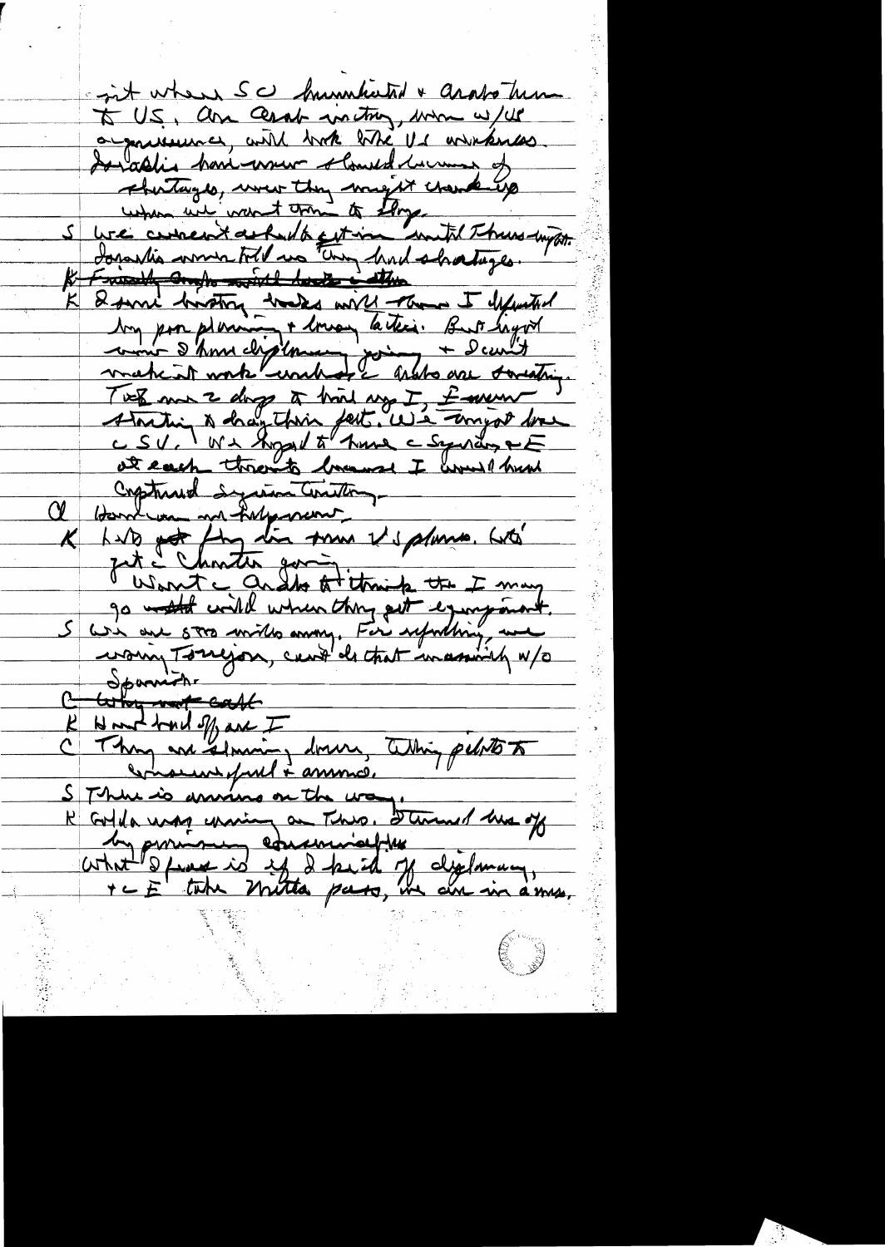git when SC hummhated & arabotum To U.S., and Ceral waiting, more w/us a goutenace, and book like It winkers Sorablis honimum slowed human of shortages, were they maynt crowding when we want trong to Eloye we current asked to get in write Thursday on. K Friendly and more with header in the K & sure brother hades with them I defended Aug par plemin + 1 may la text. But hayot TWE me 2 days à trois ny I favour !<br>Abrition à dranthin fait. We temps donc Construed Syrian Control  ${\alpha_-}$ K Lito pot fing din som Viplano. Lité zit i Christia govin. Want a grade to think the I may go world wild when they get equipment.<br>We are stro miles any, For republicy, and C Spanish totay not call R Northand of are I Nout bud off are I down, Whin peloto to comment of mel + ansons. SThur is anning on the wa R Colda was chain an This. Stemmer has of un portion education of diplomany,

E 3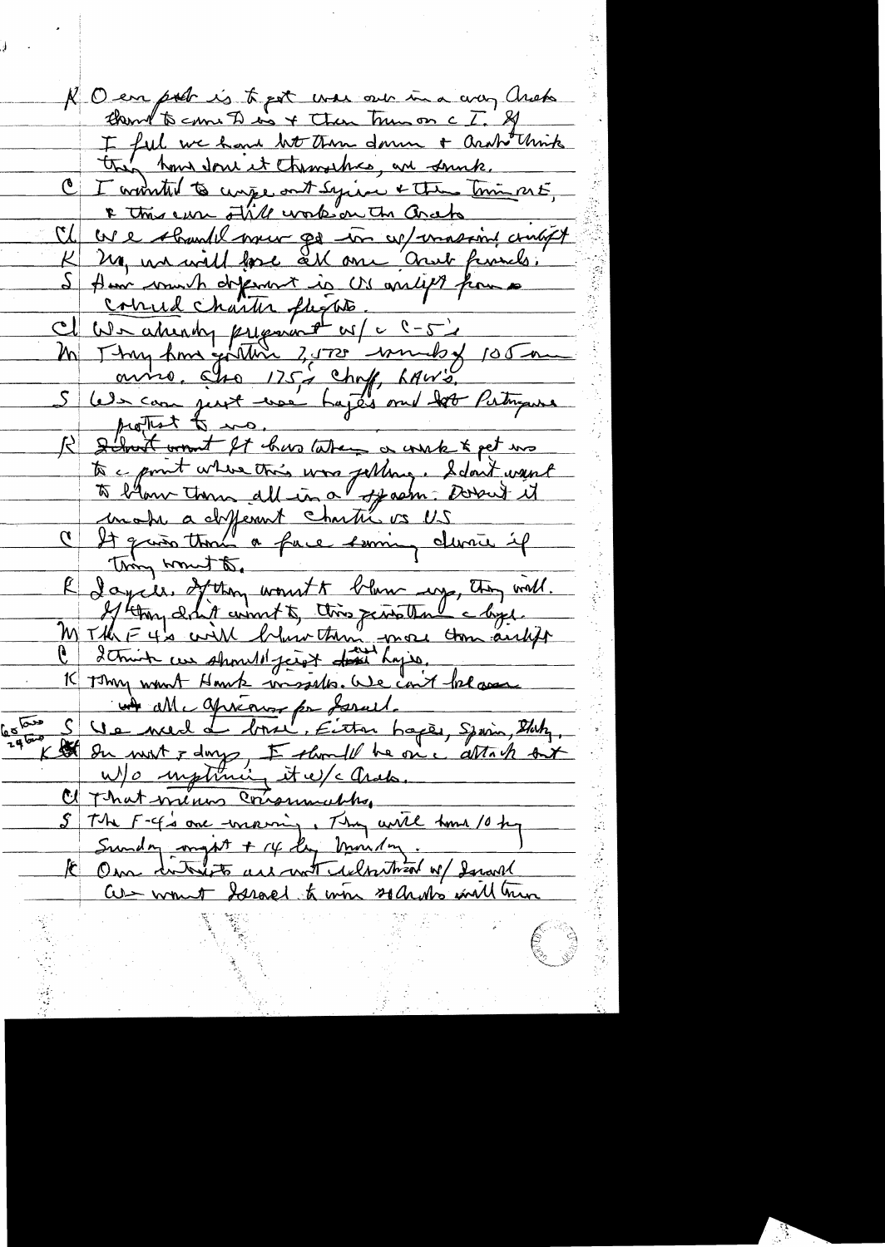R O en poet is to put was out in a croy Check I ful we have been then down + architerink then how done it themselves, are sounds. C I wonted to cinquant syric & the trimps E, I this care other work on the Grato We should now go in w/massing crubyt My war will force all one and funds. Aun wouch dependent is US ancient from a connel charter flexate. Il We akindy priparant w/c C-52 auno. Iso 175's chaf, 6Au :<br>We can just too hydrom dot Putryon protect to ma. School want It has taken a work & pet mo to a point where this was jetting. Sdon't want to blow them all in a feath. Dorout it make a different chartiers US It quien time a face soming duraie Thing wound to. R dayces, 2fthough wount to blow mys, they will. M Til E 40 with what to this pensile clips. 2 think we should just don't hyje. K Thy want Hank missiles. We can't fel are uit alle aprésier par formel.<br>Le nue de bour Fitter bapte, Spain, Blutz.  $\sqrt{a}$ He sur mont & days, Estamble he on i attach six C That means consumably The F-4's one wraving, They will have 10 kg Sunday might + 14 lby montag It Own dontaints are not delostried of Israel Cut wount Scrael to win solution will hun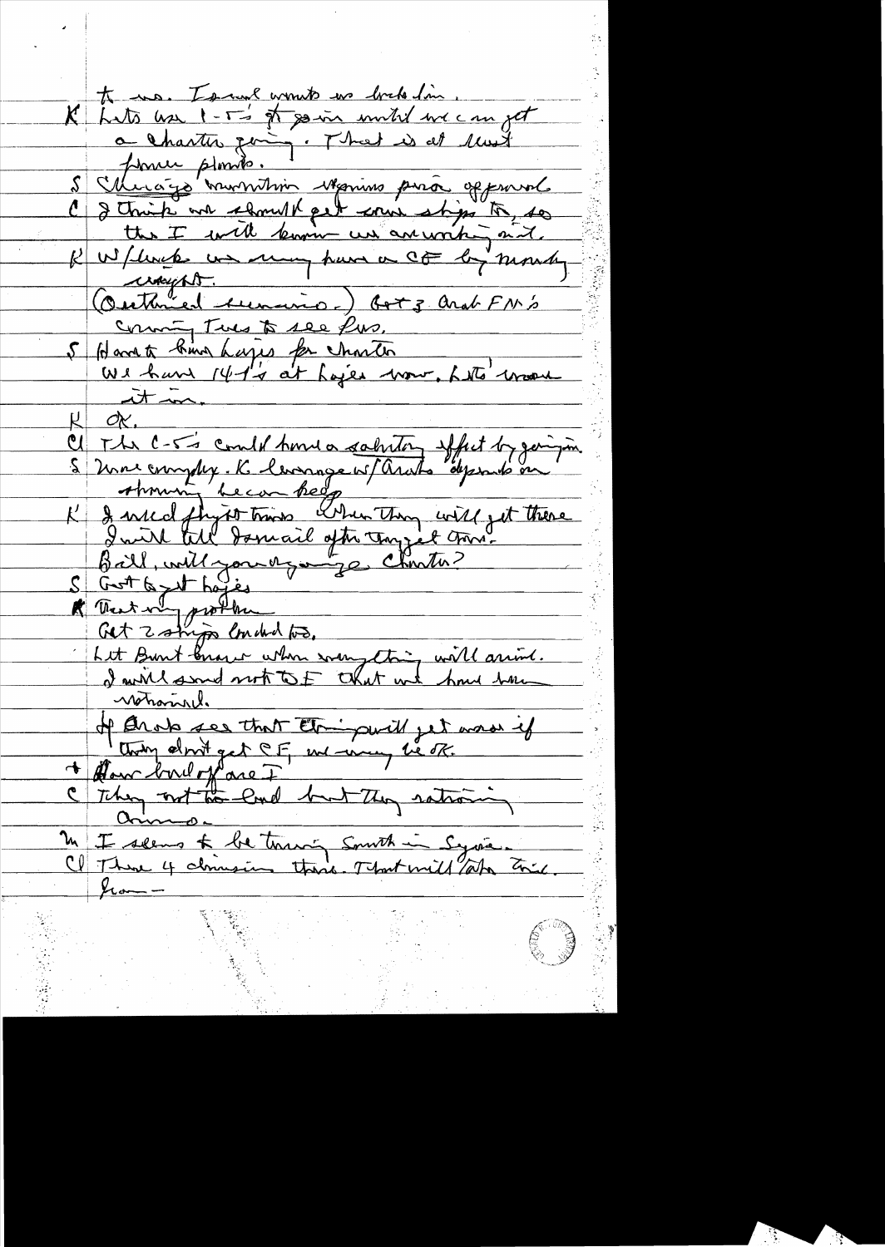to us. To we wont wo bake Im. K hats use I - T's of go in until we can get a Charter going. That is at last former plomito. <u>Murago mummini Manino pura opponal</u> C & this in should pet erui stips to, so K W/ livet un many have a CF by month crossipht. Certained Aumerico.) Got 3 and FM's Comming Tues to see Pus. 5 Harrett kung hages for charter<br>We have 141's at hajer wour, het vrou  $\lambda$  $OK.$ C The C-5's could have a calenter offert by gain in S University in Complex . R. levenage w/ arabs depends on S Grot to get haves von Let Burt bruger when something will arrive. notraind. of Orats see that Etaipwill jet mais if They not the land but They rationing M I seems to be touring smoth in Syrian